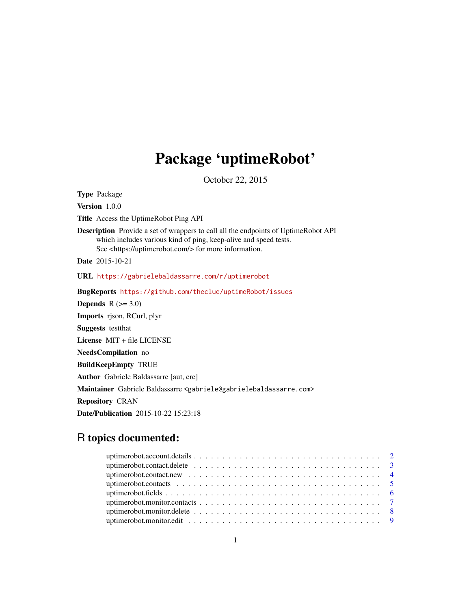## Package 'uptimeRobot'

October 22, 2015

Type Package Version 1.0.0 Title Access the UptimeRobot Ping API Description Provide a set of wrappers to call all the endpoints of UptimeRobot API which includes various kind of ping, keep-alive and speed tests. See <https://uptimerobot.com/> for more information. Date 2015-10-21 URL <https://gabrielebaldassarre.com/r/uptimerobot> BugReports <https://github.com/theclue/uptimeRobot/issues> Depends  $R$  ( $>= 3.0$ )

Imports rjson, RCurl, plyr Suggests testthat License MIT + file LICENSE NeedsCompilation no BuildKeepEmpty TRUE Author Gabriele Baldassarre [aut, cre] Maintainer Gabriele Baldassarre <gabriele@gabrielebaldassarre.com> Repository CRAN Date/Publication 2015-10-22 15:23:18

### R topics documented: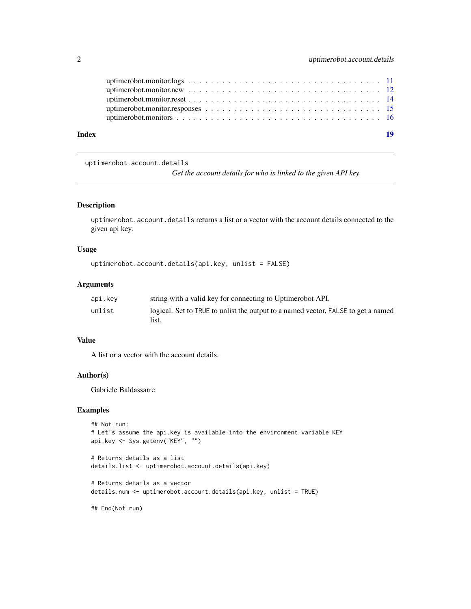<span id="page-1-0"></span>

| Index | 19 |
|-------|----|
|       |    |
|       |    |
|       |    |
|       |    |
|       |    |

uptimerobot.account.details

*Get the account details for who is linked to the given API key*

#### Description

uptimerobot.account.details returns a list or a vector with the account details connected to the given api key.

#### Usage

```
uptimerobot.account.details(api.key, unlist = FALSE)
```
#### Arguments

| api.kev | string with a valid key for connecting to Uptimerobot API.                        |
|---------|-----------------------------------------------------------------------------------|
| unlist  | logical. Set to TRUE to unlist the output to a named vector, FALSE to get a named |
|         | list.                                                                             |

#### Value

A list or a vector with the account details.

#### Author(s)

Gabriele Baldassarre

#### Examples

```
## Not run:
# Let's assume the api.key is available into the environment variable KEY
api.key <- Sys.getenv("KEY", "")
```

```
# Returns details as a list
details.list <- uptimerobot.account.details(api.key)
```

```
# Returns details as a vector
details.num <- uptimerobot.account.details(api.key, unlist = TRUE)
```
## End(Not run)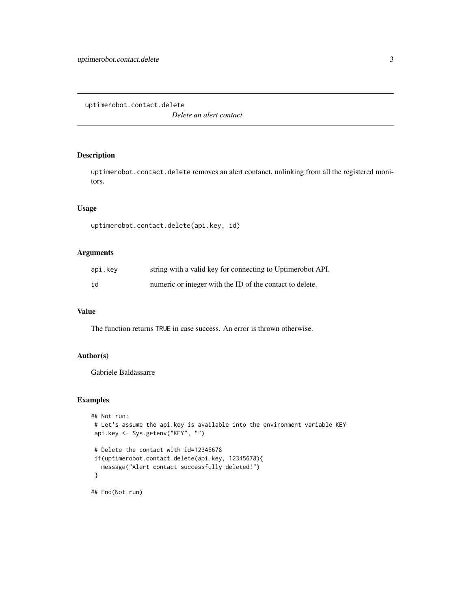<span id="page-2-1"></span><span id="page-2-0"></span>uptimerobot.contact.delete

*Delete an alert contact*

#### Description

uptimerobot.contact.delete removes an alert contanct, unlinking from all the registered monitors.

#### Usage

```
uptimerobot.contact.delete(api.key, id)
```
#### Arguments

| api.key | string with a valid key for connecting to Uptimerobot API. |
|---------|------------------------------------------------------------|
| id      | numeric or integer with the ID of the contact to delete.   |

#### Value

The function returns TRUE in case success. An error is thrown otherwise.

#### Author(s)

Gabriele Baldassarre

```
## Not run:
# Let's assume the api.key is available into the environment variable KEY
api.key <- Sys.getenv("KEY", "")
# Delete the contact with id=12345678
if(uptimerobot.contact.delete(api.key, 12345678){
  message("Alert contact successfully deleted!")
}
## End(Not run)
```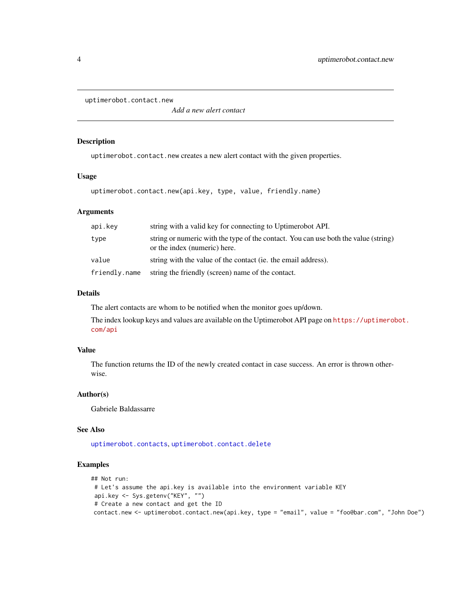<span id="page-3-0"></span>uptimerobot.contact.new

*Add a new alert contact*

#### Description

uptimerobot.contact.new creates a new alert contact with the given properties.

#### Usage

uptimerobot.contact.new(api.key, type, value, friendly.name)

#### Arguments

| api.kev       | string with a valid key for connecting to Uptimerobot API.                                                          |
|---------------|---------------------------------------------------------------------------------------------------------------------|
| type          | string or numeric with the type of the contact. You can use both the value (string)<br>or the index (numeric) here. |
| value         | string with the value of the contact (ie. the email address).                                                       |
| friendly.name | string the friendly (screen) name of the contact.                                                                   |

#### Details

The alert contacts are whom to be notified when the monitor goes up/down.

The index lookup keys and values are available on the Uptimerobot API page on [https://uptimerob](https://uptimerobot.com/api)ot. [com/api](https://uptimerobot.com/api)

#### Value

The function returns the ID of the newly created contact in case success. An error is thrown otherwise.

#### Author(s)

Gabriele Baldassarre

#### See Also

[uptimerobot.contacts](#page-4-1), [uptimerobot.contact.delete](#page-2-1)

#### Examples

## Not run: # Let's assume the api.key is available into the environment variable KEY api.key <- Sys.getenv("KEY", "") # Create a new contact and get the ID contact.new <- uptimerobot.contact.new(api.key, type = "email", value = "foo@bar.com", "John Doe")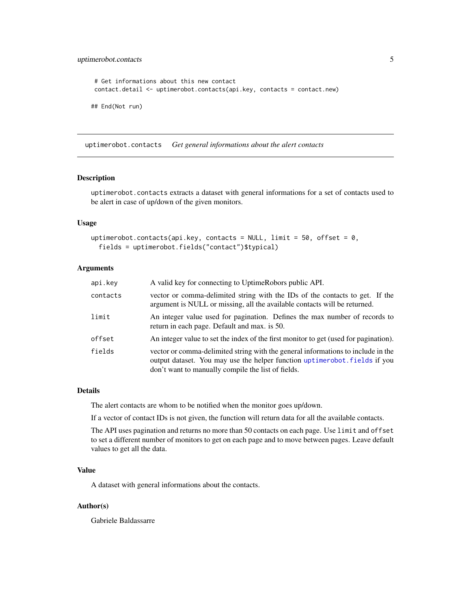#### <span id="page-4-0"></span>uptimerobot.contacts 5

```
# Get informations about this new contact
contact.detail <- uptimerobot.contacts(api.key, contacts = contact.new)
## End(Not run)
```
<span id="page-4-1"></span>uptimerobot.contacts *Get general informations about the alert contacts*

#### Description

uptimerobot.contacts extracts a dataset with general informations for a set of contacts used to be alert in case of up/down of the given monitors.

#### Usage

```
uptimerobot.contacts(api.key, contacts = NULL, limit = 50, offset = 0,
  fields = uptimerobot.fields("contact")$typical)
```
#### Arguments

| api.key  | A valid key for connecting to UptimeRobors public API.                                                                                                                                                               |
|----------|----------------------------------------------------------------------------------------------------------------------------------------------------------------------------------------------------------------------|
| contacts | vector or comma-delimited string with the IDs of the contacts to get. If the<br>argument is NULL or missing, all the available contacts will be returned.                                                            |
| limit    | An integer value used for pagination. Defines the max number of records to<br>return in each page. Default and max. is 50.                                                                                           |
| offset   | An integer value to set the index of the first monitor to get (used for pagination).                                                                                                                                 |
| fields   | vector or comma-delimited string with the general informations to include in the<br>output dataset. You may use the helper function uptimerobot. fields if you<br>don't want to manually compile the list of fields. |

#### Details

The alert contacts are whom to be notified when the monitor goes up/down.

If a vector of contact IDs is not given, the function will return data for all the available contacts.

The API uses pagination and returns no more than 50 contacts on each page. Use limit and offset to set a different number of monitors to get on each page and to move between pages. Leave default values to get all the data.

#### Value

A dataset with general informations about the contacts.

#### Author(s)

Gabriele Baldassarre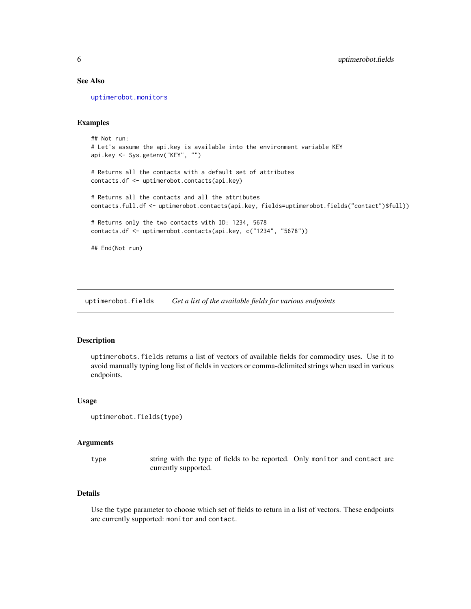#### <span id="page-5-0"></span>See Also

[uptimerobot.monitors](#page-15-1)

#### Examples

```
## Not run:
# Let's assume the api.key is available into the environment variable KEY
api.key <- Sys.getenv("KEY", "")
# Returns all the contacts with a default set of attributes
contacts.df <- uptimerobot.contacts(api.key)
# Returns all the contacts and all the attributes
contacts.full.df <- uptimerobot.contacts(api.key, fields=uptimerobot.fields("contact")$full))
# Returns only the two contacts with ID: 1234, 5678
contacts.df <- uptimerobot.contacts(api.key, c("1234", "5678"))
## End(Not run)
```
<span id="page-5-1"></span>uptimerobot.fields *Get a list of the available fields for various endpoints*

#### Description

uptimerobots.fields returns a list of vectors of available fields for commodity uses. Use it to avoid manually typing long list of fields in vectors or comma-delimited strings when used in various endpoints.

#### Usage

```
uptimerobot.fields(type)
```
#### Arguments

type string with the type of fields to be reported. Only monitor and contact are currently supported.

#### Details

Use the type parameter to choose which set of fields to return in a list of vectors. These endpoints are currently supported: monitor and contact.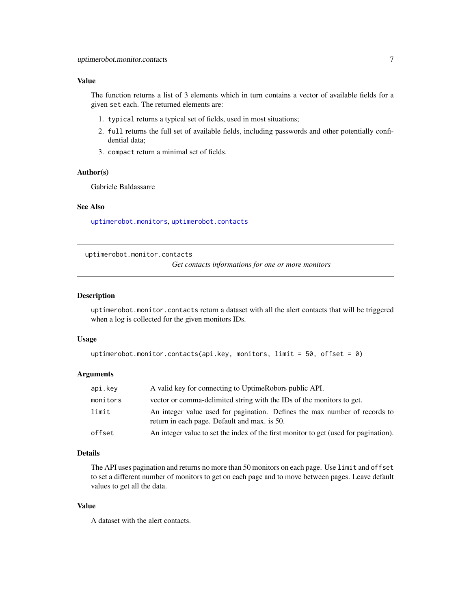#### <span id="page-6-0"></span>Value

The function returns a list of 3 elements which in turn contains a vector of available fields for a given set each. The returned elements are:

- 1. typical returns a typical set of fields, used in most situations;
- 2. full returns the full set of available fields, including passwords and other potentially confidential data;
- 3. compact return a minimal set of fields.

#### Author(s)

Gabriele Baldassarre

#### See Also

[uptimerobot.monitors](#page-15-1), [uptimerobot.contacts](#page-4-1)

<span id="page-6-1"></span>uptimerobot.monitor.contacts

*Get contacts informations for one or more monitors*

#### Description

uptimerobot.monitor.contacts return a dataset with all the alert contacts that will be triggered when a log is collected for the given monitors IDs.

#### Usage

```
uptimerobot.monitor.contacts(api.key, monitors, limit = 50, offset = 0)
```
#### Arguments

| api.key  | A valid key for connecting to UptimeRobors public API.                                                                     |
|----------|----------------------------------------------------------------------------------------------------------------------------|
| monitors | vector or comma-delimited string with the IDs of the monitors to get.                                                      |
| limit    | An integer value used for pagination. Defines the max number of records to<br>return in each page. Default and max. is 50. |
| offset   | An integer value to set the index of the first monitor to get (used for pagination).                                       |

#### Details

The API uses pagination and returns no more than 50 monitors on each page. Use limit and offset to set a different number of monitors to get on each page and to move between pages. Leave default values to get all the data.

#### Value

A dataset with the alert contacts.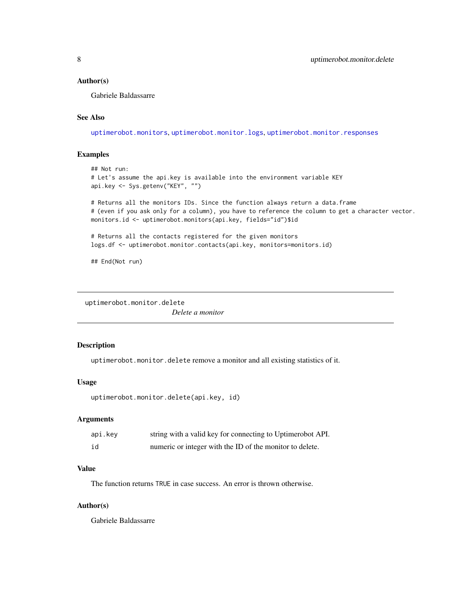#### <span id="page-7-0"></span>Author(s)

Gabriele Baldassarre

#### See Also

[uptimerobot.monitors](#page-15-1), [uptimerobot.monitor.logs](#page-10-1), [uptimerobot.monitor.responses](#page-14-1)

#### Examples

```
## Not run:
# Let's assume the api.key is available into the environment variable KEY
api.key <- Sys.getenv("KEY", "")
# Returns all the monitors IDs. Since the function always return a data.frame
# (even if you ask only for a column), you have to reference the column to get a character vector.
monitors.id <- uptimerobot.monitors(api.key, fields="id")$id
# Returns all the contacts registered for the given monitors
logs.df <- uptimerobot.monitor.contacts(api.key, monitors=monitors.id)
```
## End(Not run)

uptimerobot.monitor.delete

*Delete a monitor*

#### Description

uptimerobot.monitor.delete remove a monitor and all existing statistics of it.

#### Usage

```
uptimerobot.monitor.delete(api.key, id)
```
#### Arguments

| api.key | string with a valid key for connecting to Uptimerobot API. |
|---------|------------------------------------------------------------|
| id      | numeric or integer with the ID of the monitor to delete.   |

#### Value

The function returns TRUE in case success. An error is thrown otherwise.

#### Author(s)

Gabriele Baldassarre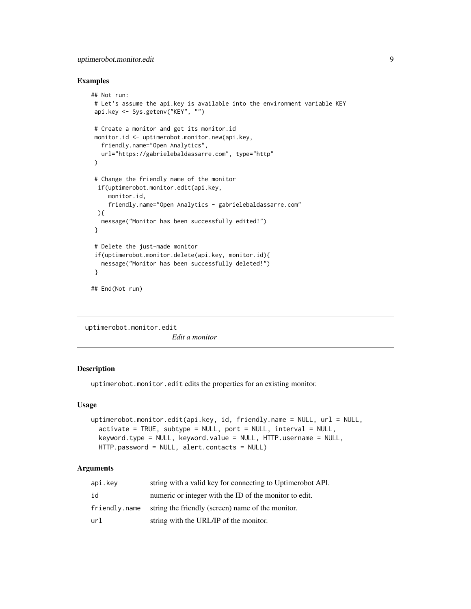#### <span id="page-8-0"></span>uptimerobot.monitor.edit 9

#### Examples

```
## Not run:
# Let's assume the api.key is available into the environment variable KEY
api.key <- Sys.getenv("KEY", "")
# Create a monitor and get its monitor.id
monitor.id <- uptimerobot.monitor.new(api.key,
  friendly.name="Open Analytics",
  url="https://gabrielebaldassarre.com", type="http"
 )
# Change the friendly name of the monitor
 if(uptimerobot.monitor.edit(api.key,
    monitor.id,
     friendly.name="Open Analytics - gabrielebaldassarre.com"
 ){
  message("Monitor has been successfully edited!")
}
 # Delete the just-made monitor
if(uptimerobot.monitor.delete(api.key, monitor.id){
   message("Monitor has been successfully deleted!")
 }
## End(Not run)
```
uptimerobot.monitor.edit *Edit a monitor*

#### Description

uptimerobot.monitor.edit edits the properties for an existing monitor.

#### Usage

```
uptimerobot.monitor.edit(api.key, id, friendly.name = NULL, url = NULL,
  activate = TRUE, subtype = NULL, port = NULL, interval = NULL,
  keyword.type = NULL, keyword.value = NULL, HTTP.username = NULL,
 HTTP.password = NULL, alert.contacts = NULL)
```
#### **Arguments**

| api.kev       | string with a valid key for connecting to Uptimerobot API. |
|---------------|------------------------------------------------------------|
| id            | numeric or integer with the ID of the monitor to edit.     |
| friendly.name | string the friendly (screen) name of the monitor.          |
| url           | string with the URL/IP of the monitor.                     |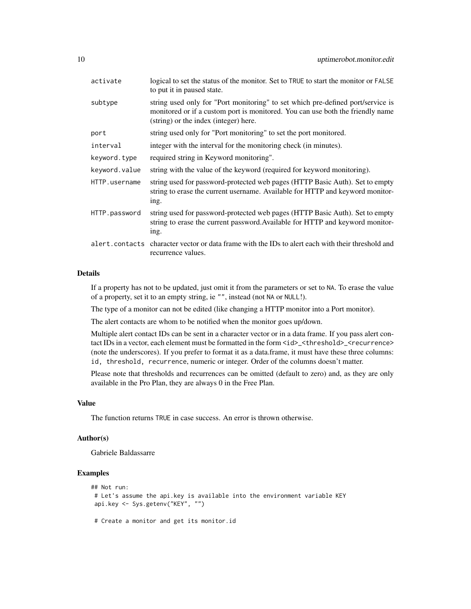| activate      | logical to set the status of the monitor. Set to TRUE to start the monitor or FALSE<br>to put it in paused state.                                                                                          |
|---------------|------------------------------------------------------------------------------------------------------------------------------------------------------------------------------------------------------------|
| subtype       | string used only for "Port monitoring" to set which pre-defined port/service is<br>monitored or if a custom port is monitored. You can use both the friendly name<br>(string) or the index (integer) here. |
| port          | string used only for "Port monitoring" to set the port monitored.                                                                                                                                          |
| interval      | integer with the interval for the monitoring check (in minutes).                                                                                                                                           |
| keyword.type  | required string in Keyword monitoring".                                                                                                                                                                    |
| keyword.value | string with the value of the keyword (required for keyword monitoring).                                                                                                                                    |
| HTTP.username | string used for password-protected web pages (HTTP Basic Auth). Set to empty<br>string to erase the current username. Available for HTTP and keyword monitor-<br>ing.                                      |
| HTTP.password | string used for password-protected web pages (HTTP Basic Auth). Set to empty<br>string to erase the current password. Available for HTTP and keyword monitor-<br>ing.                                      |
|               | alert.contacts character vector or data frame with the IDs to alert each with their threshold and<br>recurrence values.                                                                                    |
|               |                                                                                                                                                                                                            |

#### Details

If a property has not to be updated, just omit it from the parameters or set to NA. To erase the value of a property, set it to an empty string, ie "", instead (not NA or NULL!).

The type of a monitor can not be edited (like changing a HTTP monitor into a Port monitor).

The alert contacts are whom to be notified when the monitor goes up/down.

Multiple alert contact IDs can be sent in a character vector or in a data frame. If you pass alert contact IDs in a vector, each element must be formatted in the form <id>\_<threshold>\_<recurrence> (note the underscores). If you prefer to format it as a data.frame, it must have these three columns: id, threshold, recurrence, numeric or integer. Order of the columns doesn't matter.

Please note that thresholds and recurrences can be omitted (default to zero) and, as they are only available in the Pro Plan, they are always 0 in the Free Plan.

#### Value

The function returns TRUE in case success. An error is thrown otherwise.

#### Author(s)

Gabriele Baldassarre

```
## Not run:
# Let's assume the api.key is available into the environment variable KEY
api.key <- Sys.getenv("KEY", "")
# Create a monitor and get its monitor.id
```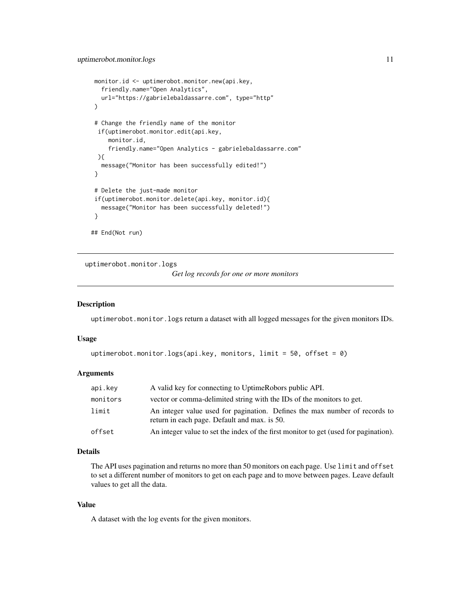```
monitor.id <- uptimerobot.monitor.new(api.key,
  friendly.name="Open Analytics",
  url="https://gabrielebaldassarre.com", type="http"
\lambda# Change the friendly name of the monitor
 if(uptimerobot.monitor.edit(api.key,
    monitor.id,
     friendly.name="Open Analytics - gabrielebaldassarre.com"
 ){
   message("Monitor has been successfully edited!")
 }
 # Delete the just-made monitor
 if(uptimerobot.monitor.delete(api.key, monitor.id){
  message("Monitor has been successfully deleted!")
}
## End(Not run)
```
<span id="page-10-1"></span>uptimerobot.monitor.logs

```
Get log records for one or more monitors
```
#### Description

uptimerobot.monitor.logs return a dataset with all logged messages for the given monitors IDs.

#### Usage

```
uptimerobot.monitor.logs(api.key, monitors, limit = 50, offset = 0)
```
#### Arguments

| api.key  | A valid key for connecting to UptimeRobors public API.                                                                     |
|----------|----------------------------------------------------------------------------------------------------------------------------|
| monitors | vector or comma-delimited string with the IDs of the monitors to get.                                                      |
| limit    | An integer value used for pagination. Defines the max number of records to<br>return in each page. Default and max. is 50. |
| offset   | An integer value to set the index of the first monitor to get (used for pagination).                                       |

#### Details

The API uses pagination and returns no more than 50 monitors on each page. Use limit and offset to set a different number of monitors to get on each page and to move between pages. Leave default values to get all the data.

#### Value

A dataset with the log events for the given monitors.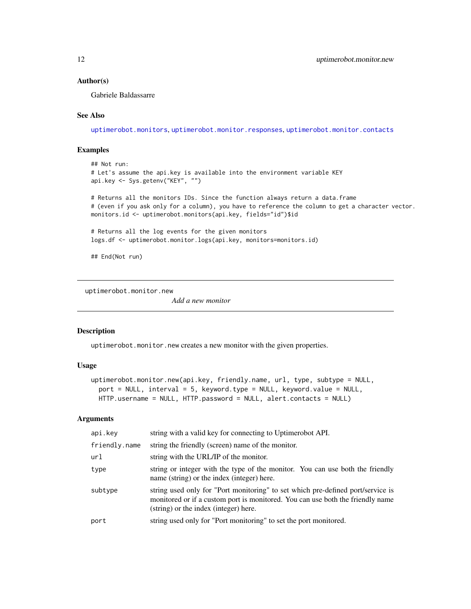#### <span id="page-11-0"></span>Author(s)

Gabriele Baldassarre

#### See Also

[uptimerobot.monitors](#page-15-1), [uptimerobot.monitor.responses](#page-14-1), [uptimerobot.monitor.contacts](#page-6-1)

#### Examples

```
## Not run:
# Let's assume the api.key is available into the environment variable KEY
api.key <- Sys.getenv("KEY", "")
```
# Returns all the monitors IDs. Since the function always return a data.frame # (even if you ask only for a column), you have to reference the column to get a character vector. monitors.id <- uptimerobot.monitors(api.key, fields="id")\$id

# Returns all the log events for the given monitors logs.df <- uptimerobot.monitor.logs(api.key, monitors=monitors.id)

## End(Not run)

uptimerobot.monitor.new

*Add a new monitor*

#### Description

uptimerobot.monitor.new creates a new monitor with the given properties.

#### Usage

```
uptimerobot.monitor.new(api.key, friendly.name, url, type, subtype = NULL,
  port = NULL, interval = 5, keyword.type = NULL, keyword.value = NULL,
 HTTP.username = NULL, HTTP.password = NULL, alert.contacts = NULL)
```
#### Arguments

| api.key       | string with a valid key for connecting to Uptimerobot API.                                                                                                                                                 |
|---------------|------------------------------------------------------------------------------------------------------------------------------------------------------------------------------------------------------------|
| friendly.name | string the friendly (screen) name of the monitor.                                                                                                                                                          |
| url           | string with the URL/IP of the monitor.                                                                                                                                                                     |
| type          | string or integer with the type of the monitor. You can use both the friendly<br>name (string) or the index (integer) here.                                                                                |
| subtype       | string used only for "Port monitoring" to set which pre-defined port/service is<br>monitored or if a custom port is monitored. You can use both the friendly name<br>(string) or the index (integer) here. |
| port          | string used only for "Port monitoring" to set the port monitored.                                                                                                                                          |
|               |                                                                                                                                                                                                            |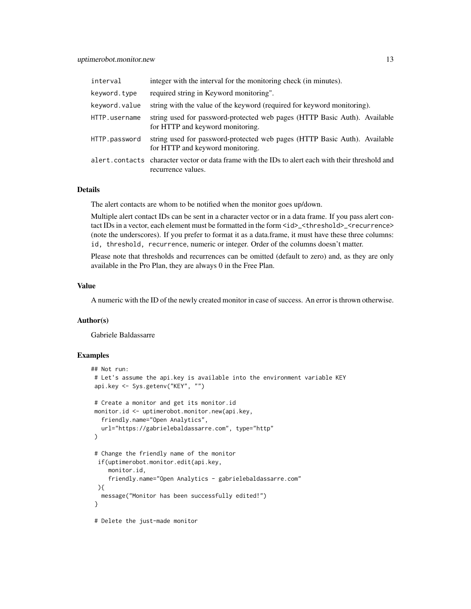| interval      | integer with the interval for the monitoring check (in minutes).                                                        |
|---------------|-------------------------------------------------------------------------------------------------------------------------|
| keyword.type  | required string in Keyword monitoring".                                                                                 |
| keyword.value | string with the value of the keyword (required for keyword monitoring).                                                 |
| HTTP.username | string used for password-protected web pages (HTTP Basic Auth). Available<br>for HTTP and keyword monitoring.           |
| HTTP.password | string used for password-protected web pages (HTTP Basic Auth). Available<br>for HTTP and keyword monitoring.           |
|               | alert.contacts character vector or data frame with the IDs to alert each with their threshold and<br>recurrence values. |

#### Details

The alert contacts are whom to be notified when the monitor goes up/down.

Multiple alert contact IDs can be sent in a character vector or in a data frame. If you pass alert contact IDs in a vector, each element must be formatted in the form  $\langle id \rangle$ \_ $\langle$ threshold $\rangle$ \_ $\langle$ recurrence $\rangle$ (note the underscores). If you prefer to format it as a data.frame, it must have these three columns: id, threshold, recurrence, numeric or integer. Order of the columns doesn't matter.

Please note that thresholds and recurrences can be omitted (default to zero) and, as they are only available in the Pro Plan, they are always 0 in the Free Plan.

#### Value

A numeric with the ID of the newly created monitor in case of success. An error is thrown otherwise.

#### Author(s)

Gabriele Baldassarre

```
## Not run:
# Let's assume the api.key is available into the environment variable KEY
api.key <- Sys.getenv("KEY", "")
# Create a monitor and get its monitor.id
monitor.id <- uptimerobot.monitor.new(api.key,
  friendly.name="Open Analytics",
  url="https://gabrielebaldassarre.com", type="http"
)
# Change the friendly name of the monitor
 if(uptimerobot.monitor.edit(api.key,
    monitor.id,
    friendly.name="Open Analytics - gabrielebaldassarre.com"
 ){
  message("Monitor has been successfully edited!")
}
# Delete the just-made monitor
```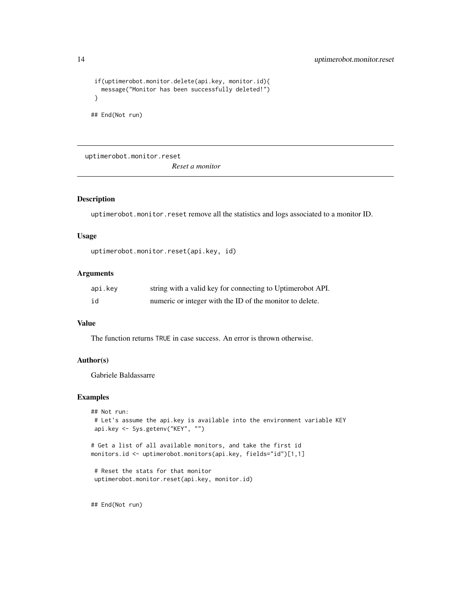```
if(uptimerobot.monitor.delete(api.key, monitor.id){
 message("Monitor has been successfully deleted!")
}
```
## End(Not run)

uptimerobot.monitor.reset

*Reset a monitor*

#### Description

uptimerobot.monitor.reset remove all the statistics and logs associated to a monitor ID.

#### Usage

```
uptimerobot.monitor.reset(api.key, id)
```
#### Arguments

| api.key | string with a valid key for connecting to Uptimerobot API. |
|---------|------------------------------------------------------------|
| id      | numeric or integer with the ID of the monitor to delete.   |

#### Value

The function returns TRUE in case success. An error is thrown otherwise.

#### Author(s)

Gabriele Baldassarre

#### Examples

```
## Not run:
# Let's assume the api.key is available into the environment variable KEY
api.key <- Sys.getenv("KEY", "")
```
# Get a list of all available monitors, and take the first id monitors.id <- uptimerobot.monitors(api.key, fields="id")[1,1]

```
# Reset the stats for that monitor
uptimerobot.monitor.reset(api.key, monitor.id)
```
## End(Not run)

<span id="page-13-0"></span>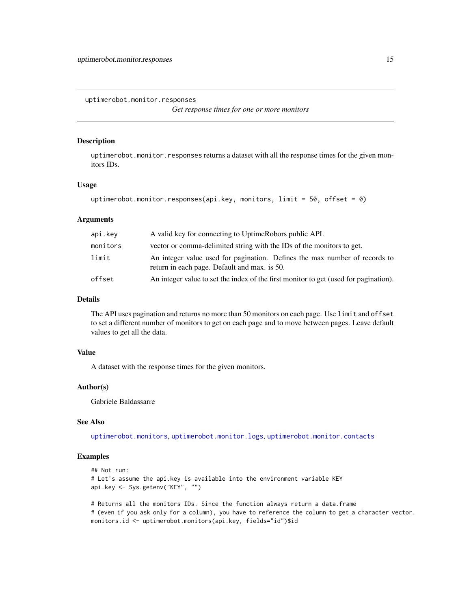<span id="page-14-1"></span><span id="page-14-0"></span>uptimerobot.monitor.responses

*Get response times for one or more monitors*

#### Description

uptimerobot.monitor.responses returns a dataset with all the response times for the given monitors IDs.

#### Usage

```
uptimerobot.monitor.responses(api.key, monitors, limit = 50, offset = 0)
```
#### Arguments

| api.key  | A valid key for connecting to UptimeRobors public API.                                                                     |
|----------|----------------------------------------------------------------------------------------------------------------------------|
| monitors | vector or comma-delimited string with the IDs of the monitors to get.                                                      |
| limit    | An integer value used for pagination. Defines the max number of records to<br>return in each page. Default and max. is 50. |
| offset   | An integer value to set the index of the first monitor to get (used for pagination).                                       |

#### Details

The API uses pagination and returns no more than 50 monitors on each page. Use limit and offset to set a different number of monitors to get on each page and to move between pages. Leave default values to get all the data.

#### Value

A dataset with the response times for the given monitors.

#### Author(s)

Gabriele Baldassarre

#### See Also

[uptimerobot.monitors](#page-15-1), [uptimerobot.monitor.logs](#page-10-1), [uptimerobot.monitor.contacts](#page-6-1)

#### Examples

```
## Not run:
# Let's assume the api.key is available into the environment variable KEY
api.key <- Sys.getenv("KEY", "")
```
# Returns all the monitors IDs. Since the function always return a data.frame # (even if you ask only for a column), you have to reference the column to get a character vector. monitors.id <- uptimerobot.monitors(api.key, fields="id")\$id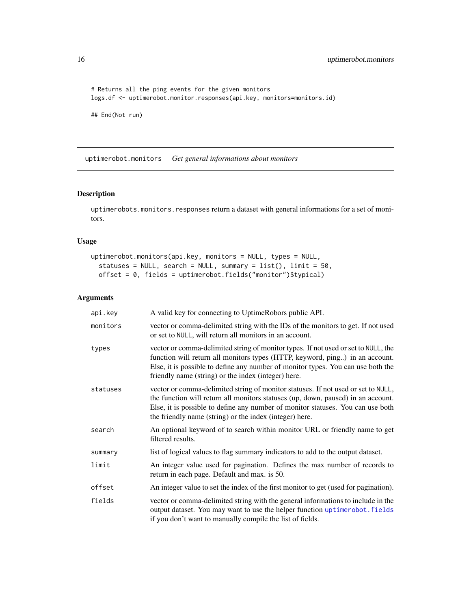```
# Returns all the ping events for the given monitors
logs.df <- uptimerobot.monitor.responses(api.key, monitors=monitors.id)
```
## End(Not run)

<span id="page-15-1"></span>uptimerobot.monitors *Get general informations about monitors*

#### Description

uptimerobots.monitors.responses return a dataset with general informations for a set of monitors.

#### Usage

```
uptimerobot.monitors(api.key, monitors = NULL, types = NULL,
  statuses = NULL, search = NULL, summary = list(), limit = 50,
 offset = 0, fields = uptimerobot.fields("monitor")$typical)
```
#### Arguments

| api.key  | A valid key for connecting to UptimeRobors public API.                                                                                                                                                                                                                                                              |
|----------|---------------------------------------------------------------------------------------------------------------------------------------------------------------------------------------------------------------------------------------------------------------------------------------------------------------------|
| monitors | vector or comma-delimited string with the IDs of the monitors to get. If not used<br>or set to NULL, will return all monitors in an account.                                                                                                                                                                        |
| types    | vector or comma-delimited string of monitor types. If not used or set to NULL, the<br>function will return all monitors types (HTTP, keyword, ping) in an account.<br>Else, it is possible to define any number of monitor types. You can use both the<br>friendly name (string) or the index (integer) here.       |
| statuses | vector or comma-delimited string of monitor statuses. If not used or set to NULL,<br>the function will return all monitors statuses (up, down, paused) in an account.<br>Else, it is possible to define any number of monitor statuses. You can use both<br>the friendly name (string) or the index (integer) here. |
| search   | An optional keyword of to search within monitor URL or friendly name to get<br>filtered results.                                                                                                                                                                                                                    |
| summary  | list of logical values to flag summary indicators to add to the output dataset.                                                                                                                                                                                                                                     |
| limit    | An integer value used for pagination. Defines the max number of records to<br>return in each page. Default and max. is 50.                                                                                                                                                                                          |
| offset   | An integer value to set the index of the first monitor to get (used for pagination).                                                                                                                                                                                                                                |
| fields   | vector or comma-delimited string with the general informations to include in the<br>output dataset. You may want to use the helper function uptimerobot. fields<br>if you don't want to manually compile the list of fields.                                                                                        |

<span id="page-15-0"></span>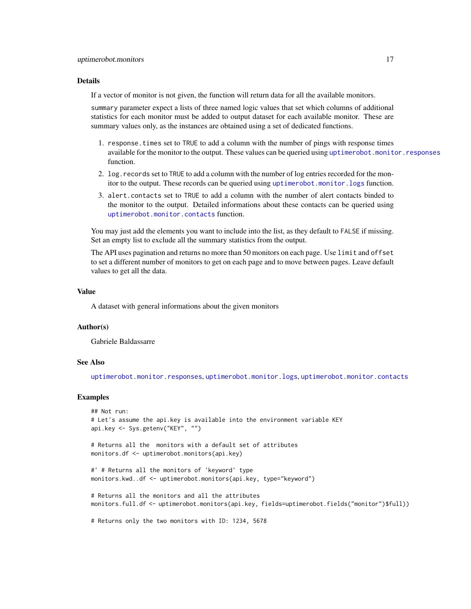#### <span id="page-16-0"></span>Details

If a vector of monitor is not given, the function will return data for all the available monitors.

summary parameter expect a lists of three named logic values that set which columns of additional statistics for each monitor must be added to output dataset for each available monitor. These are summary values only, as the instances are obtained using a set of dedicated functions.

- 1. response.times set to TRUE to add a column with the number of pings with response times available for the monitor to the output. These values can be queried using [uptimerobot.monitor.responses](#page-14-1) function.
- 2. log.records set to TRUE to add a column with the number of log entries recorded for the monitor to the output. These records can be queried using [uptimerobot.monitor.logs](#page-10-1) function.
- 3. alert.contacts set to TRUE to add a column with the number of alert contacts binded to the monitor to the output. Detailed informations about these contacts can be queried using [uptimerobot.monitor.contacts](#page-6-1) function.

You may just add the elements you want to include into the list, as they default to FALSE if missing. Set an empty list to exclude all the summary statistics from the output.

The API uses pagination and returns no more than 50 monitors on each page. Use limit and offset to set a different number of monitors to get on each page and to move between pages. Leave default values to get all the data.

#### Value

A dataset with general informations about the given monitors

#### Author(s)

Gabriele Baldassarre

#### See Also

[uptimerobot.monitor.responses](#page-14-1), [uptimerobot.monitor.logs](#page-10-1), [uptimerobot.monitor.contacts](#page-6-1)

```
## Not run:
# Let's assume the api.key is available into the environment variable KEY
api.key <- Sys.getenv("KEY", "")
# Returns all the monitors with a default set of attributes
monitors.df <- uptimerobot.monitors(api.key)
#' # Returns all the monitors of 'keyword' type
monitors.kwd..df <- uptimerobot.monitors(api.key, type="keyword")
# Returns all the monitors and all the attributes
monitors.full.df <- uptimerobot.monitors(api.key, fields=uptimerobot.fields("monitor")$full))
# Returns only the two monitors with ID: 1234, 5678
```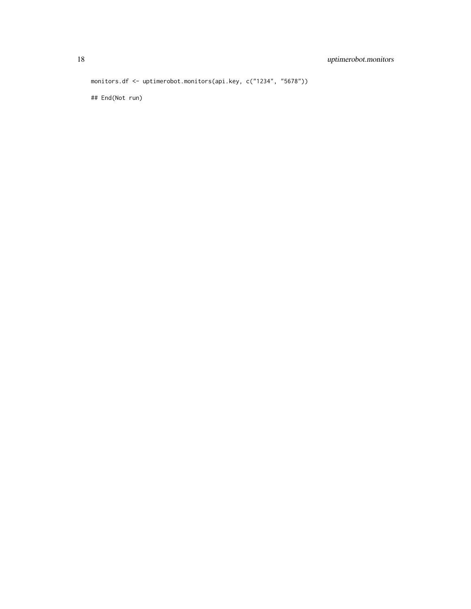monitors.df <- uptimerobot.monitors(api.key, c("1234", "5678"))

## End(Not run)